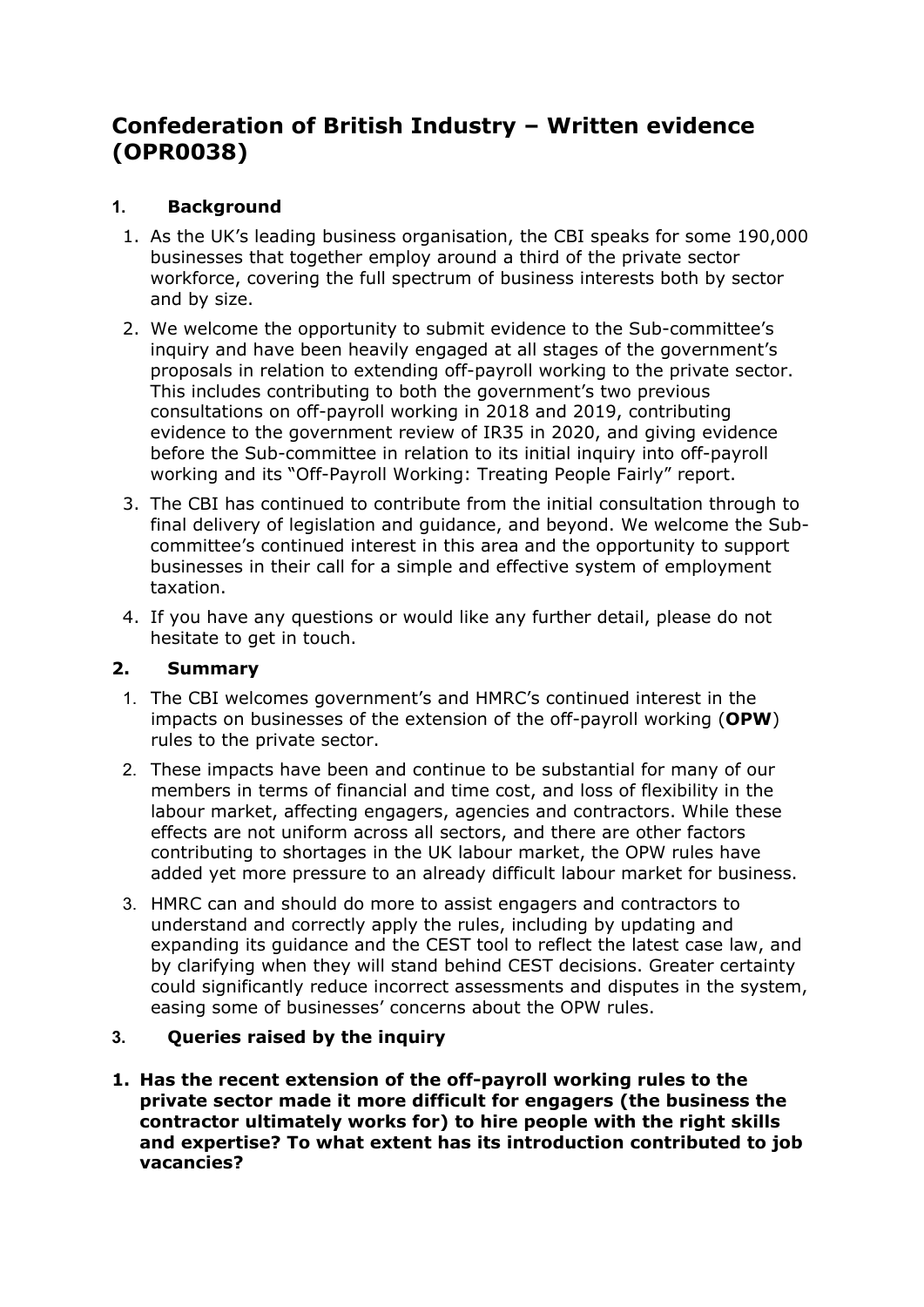# **Confederation of British Industry – Written evidence (OPR0038)**

## **1. Background**

- 1. As the UK's leading business organisation, the CBI speaks for some 190,000 businesses that together employ around a third of the private sector workforce, covering the full spectrum of business interests both by sector and by size.
- 2. We welcome the opportunity to submit evidence to the Sub-committee's inquiry and have been heavily engaged at all stages of the government's proposals in relation to extending off-payroll working to the private sector. This includes contributing to both the government's two previous consultations on off-payroll working in 2018 and 2019, contributing evidence to the government review of IR35 in 2020, and giving evidence before the Sub-committee in relation to its initial inquiry into off-payroll working and its "Off-Payroll Working: Treating People Fairly" report.
- 3. The CBI has continued to contribute from the initial consultation through to final delivery of legislation and guidance, and beyond. We welcome the Subcommittee's continued interest in this area and the opportunity to support businesses in their call for a simple and effective system of employment taxation.
- 4. If you have any questions or would like any further detail, please do not hesitate to get in touch.

## **2. Summary**

- 1. The CBI welcomes government's and HMRC's continued interest in the impacts on businesses of the extension of the off-payroll working (**OPW**) rules to the private sector.
- 2. These impacts have been and continue to be substantial for many of our members in terms of financial and time cost, and loss of flexibility in the labour market, affecting engagers, agencies and contractors. While these effects are not uniform across all sectors, and there are other factors contributing to shortages in the UK labour market, the OPW rules have added yet more pressure to an already difficult labour market for business.
- 3. HMRC can and should do more to assist engagers and contractors to understand and correctly apply the rules, including by updating and expanding its guidance and the CEST tool to reflect the latest case law, and by clarifying when they will stand behind CEST decisions. Greater certainty could significantly reduce incorrect assessments and disputes in the system, easing some of businesses' concerns about the OPW rules.

## **3. Queries raised by the inquiry**

**1. Has the recent extension of the off-payroll working rules to the private sector made it more difficult for engagers (the business the contractor ultimately works for) to hire people with the right skills and expertise? To what extent has its introduction contributed to job vacancies?**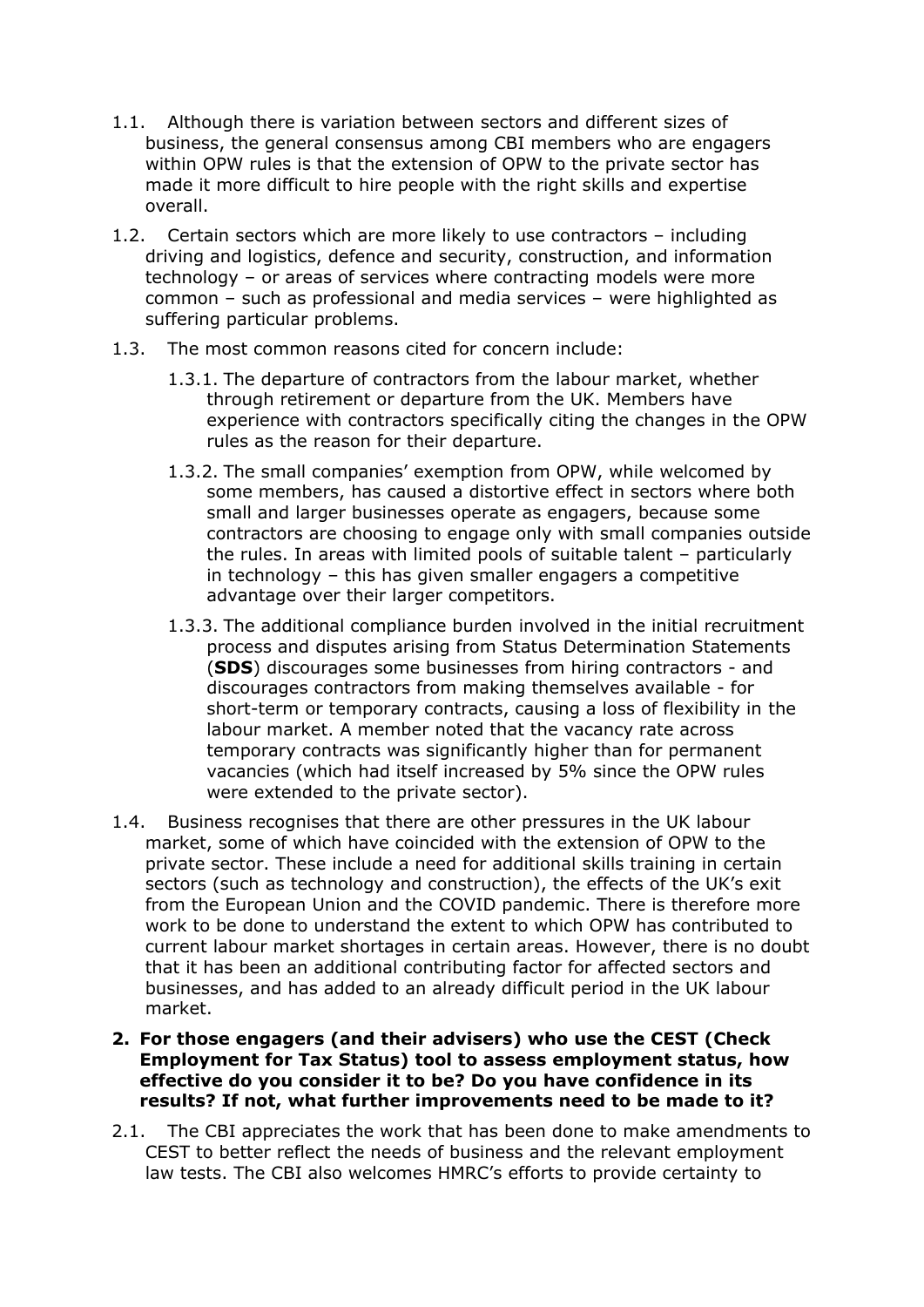- 1.1. Although there is variation between sectors and different sizes of business, the general consensus among CBI members who are engagers within OPW rules is that the extension of OPW to the private sector has made it more difficult to hire people with the right skills and expertise overall.
- 1.2. Certain sectors which are more likely to use contractors including driving and logistics, defence and security, construction, and information technology – or areas of services where contracting models were more common – such as professional and media services – were highlighted as suffering particular problems.
- 1.3. The most common reasons cited for concern include:
	- 1.3.1. The departure of contractors from the labour market, whether through retirement or departure from the UK. Members have experience with contractors specifically citing the changes in the OPW rules as the reason for their departure.
	- 1.3.2. The small companies' exemption from OPW, while welcomed by some members, has caused a distortive effect in sectors where both small and larger businesses operate as engagers, because some contractors are choosing to engage only with small companies outside the rules. In areas with limited pools of suitable talent – particularly in technology – this has given smaller engagers a competitive advantage over their larger competitors.
	- 1.3.3. The additional compliance burden involved in the initial recruitment process and disputes arising from Status Determination Statements (**SDS**) discourages some businesses from hiring contractors - and discourages contractors from making themselves available - for short-term or temporary contracts, causing a loss of flexibility in the labour market. A member noted that the vacancy rate across temporary contracts was significantly higher than for permanent vacancies (which had itself increased by 5% since the OPW rules were extended to the private sector).
- 1.4. Business recognises that there are other pressures in the UK labour market, some of which have coincided with the extension of OPW to the private sector. These include a need for additional skills training in certain sectors (such as technology and construction), the effects of the UK's exit from the European Union and the COVID pandemic. There is therefore more work to be done to understand the extent to which OPW has contributed to current labour market shortages in certain areas. However, there is no doubt that it has been an additional contributing factor for affected sectors and businesses, and has added to an already difficult period in the UK labour market.
- **2. For those engagers (and their advisers) who use the CEST (Check Employment for Tax Status) tool to assess employment status, how effective do you consider it to be? Do you have confidence in its results? If not, what further improvements need to be made to it?**
- 2.1. The CBI appreciates the work that has been done to make amendments to CEST to better reflect the needs of business and the relevant employment law tests. The CBI also welcomes HMRC's efforts to provide certainty to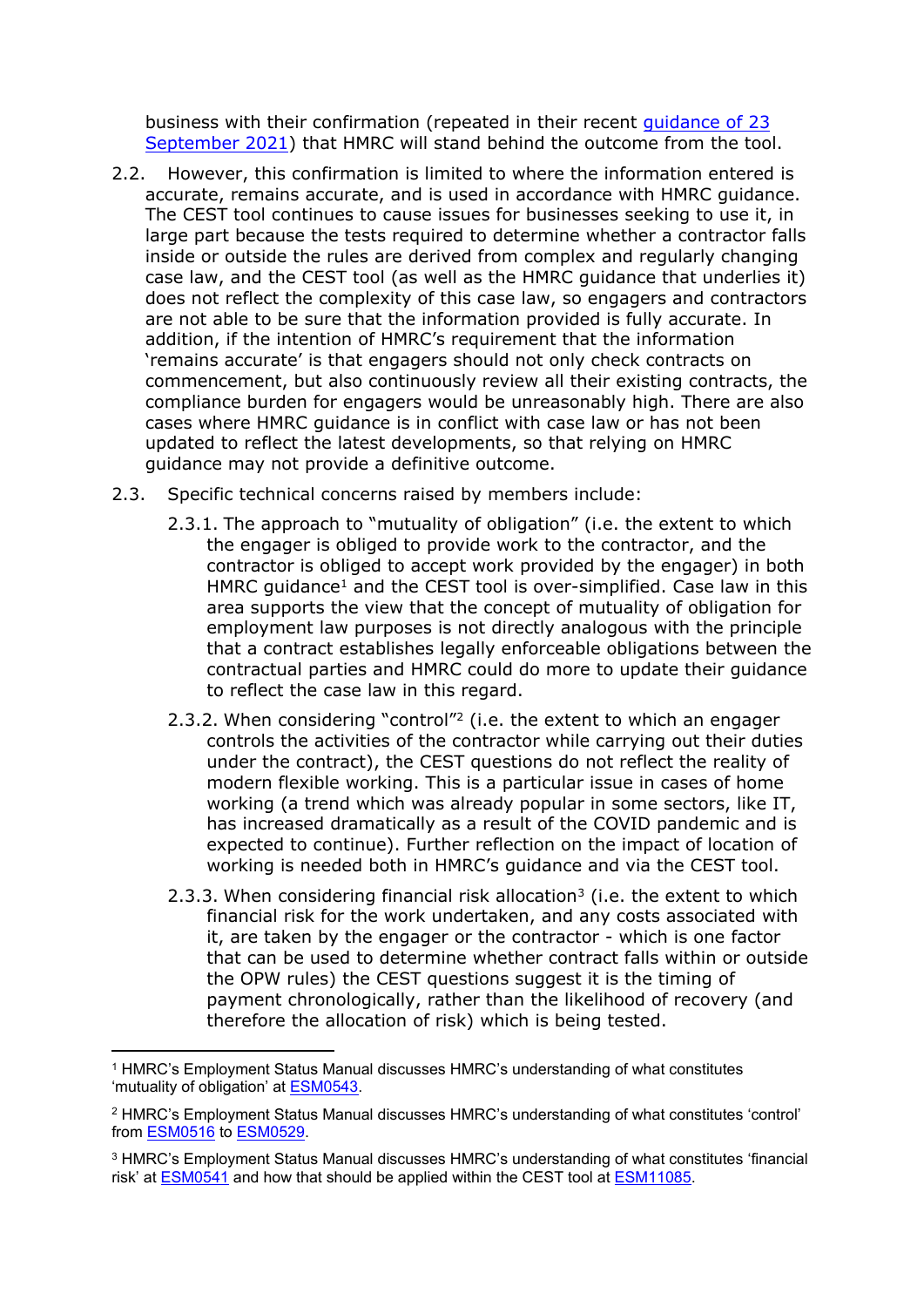business with their confirmation (repeated in their recent [guidance](https://www.gov.uk/government/publications/check-employment-status-for-tax-cest-2019-enhancement/check-employment-status-for-tax-cest-usage-data) [of](https://www.gov.uk/government/publications/check-employment-status-for-tax-cest-2019-enhancement/check-employment-status-for-tax-cest-usage-data) [23](https://www.gov.uk/government/publications/check-employment-status-for-tax-cest-2019-enhancement/check-employment-status-for-tax-cest-usage-data) [September](https://www.gov.uk/government/publications/check-employment-status-for-tax-cest-2019-enhancement/check-employment-status-for-tax-cest-usage-data) [2021](https://www.gov.uk/government/publications/check-employment-status-for-tax-cest-2019-enhancement/check-employment-status-for-tax-cest-usage-data)) that HMRC will stand behind the outcome from the tool.

- 2.2. However, this confirmation is limited to where the information entered is accurate, remains accurate, and is used in accordance with HMRC guidance. The CEST tool continues to cause issues for businesses seeking to use it, in large part because the tests required to determine whether a contractor falls inside or outside the rules are derived from complex and regularly changing case law, and the CEST tool (as well as the HMRC guidance that underlies it) does not reflect the complexity of this case law, so engagers and contractors are not able to be sure that the information provided is fully accurate. In addition, if the intention of HMRC's requirement that the information 'remains accurate' is that engagers should not only check contracts on commencement, but also continuously review all their existing contracts, the compliance burden for engagers would be unreasonably high. There are also cases where HMRC guidance is in conflict with case law or has not been updated to reflect the latest developments, so that relying on HMRC guidance may not provide a definitive outcome.
- 2.3. Specific technical concerns raised by members include:
	- 2.3.1. The approach to "mutuality of obligation" (i.e. the extent to which the engager is obliged to provide work to the contractor, and the contractor is obliged to accept work provided by the engager) in both HMRC guidance<sup>1</sup> and the CEST tool is over-simplified. Case law in this area supports the view that the concept of mutuality of obligation for employment law purposes is not directly analogous with the principle that a contract establishes legally enforceable obligations between the contractual parties and HMRC could do more to update their guidance to reflect the case law in this regard.
	- 2.3.2. When considering "control"<sup>2</sup> (i.e. the extent to which an engager controls the activities of the contractor while carrying out their duties under the contract), the CEST questions do not reflect the reality of modern flexible working. This is a particular issue in cases of home working (a trend which was already popular in some sectors, like IT, has increased dramatically as a result of the COVID pandemic and is expected to continue). Further reflection on the impact of location of working is needed both in HMRC's guidance and via the CEST tool.
	- 2.3.3. When considering financial risk allocation<sup>3</sup> (i.e. the extent to which financial risk for the work undertaken, and any costs associated with it, are taken by the engager or the contractor - which is one factor that can be used to determine whether contract falls within or outside the OPW rules) the CEST questions suggest it is the timing of payment chronologically, rather than the likelihood of recovery (and therefore the allocation of risk) which is being tested.

<sup>1</sup> HMRC's Employment Status Manual discusses HMRC's understanding of what constitutes 'mutuality of obligation' at [ESM0543.](https://www.gov.uk/hmrc-internal-manuals/employment-status-manual/esm0543)

<sup>2</sup> HMRC's Employment Status Manual discusses HMRC's understanding of what constitutes 'control' from [ESM0516](https://www.gov.uk/hmrc-internal-manuals/employment-status-manual/esm0516) to [ESM0529.](https://www.gov.uk/hmrc-internal-manuals/employment-status-manual/esm0529)

<sup>3</sup> HMRC's Employment Status Manual discusses HMRC's understanding of what constitutes 'financial risk' at [ESM0541](https://www.gov.uk/hmrc-internal-manuals/employment-status-manual/esm0541) and how that should be applied within the CEST tool at [ESM11085.](https://www.gov.uk/hmrc-internal-manuals/employment-status-manual/esm11085)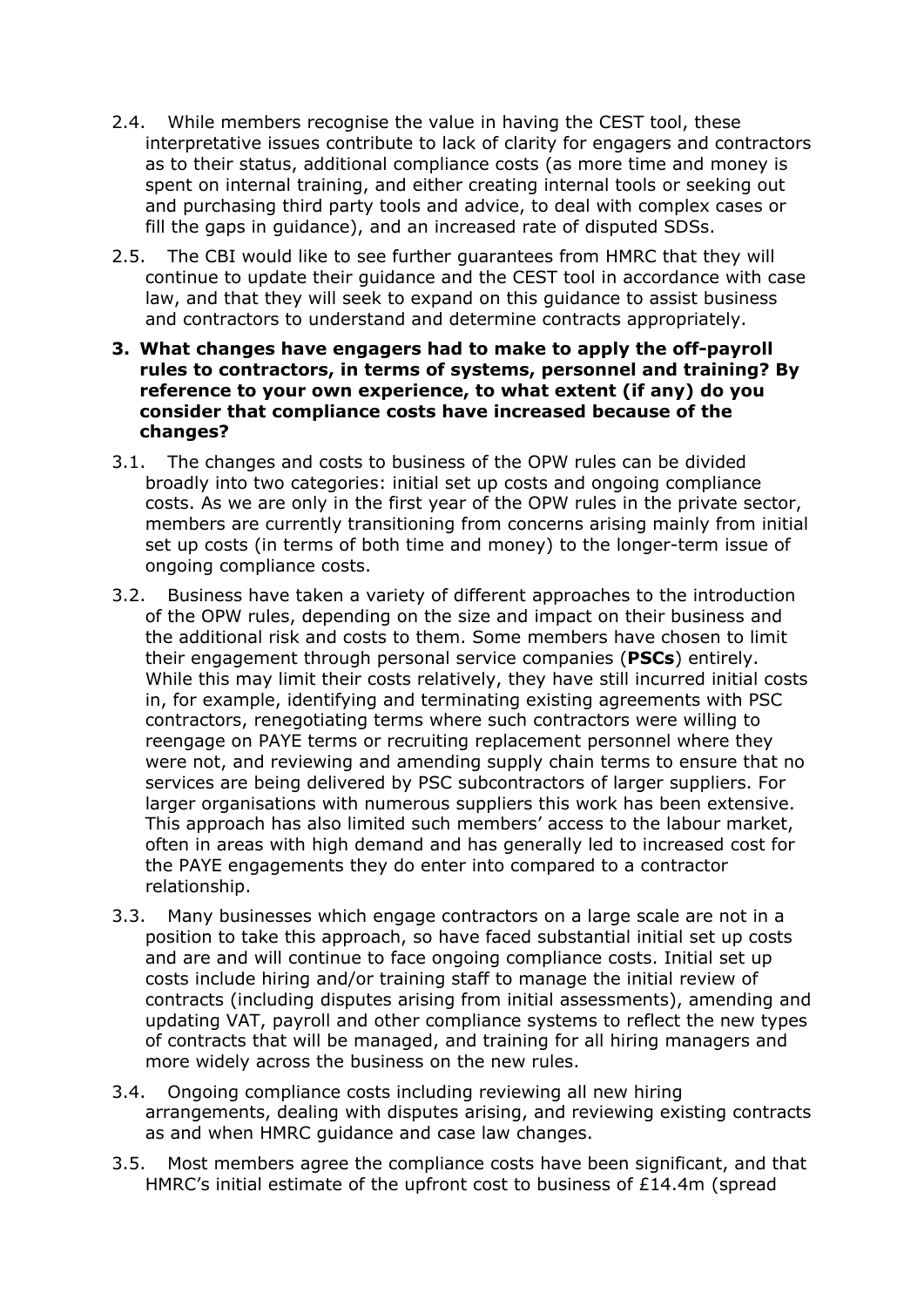- 2.4. While members recognise the value in having the CEST tool, these interpretative issues contribute to lack of clarity for engagers and contractors as to their status, additional compliance costs (as more time and money is spent on internal training, and either creating internal tools or seeking out and purchasing third party tools and advice, to deal with complex cases or fill the gaps in guidance), and an increased rate of disputed SDSs.
- 2.5. The CBI would like to see further guarantees from HMRC that they will continue to update their guidance and the CEST tool in accordance with case law, and that they will seek to expand on this guidance to assist business and contractors to understand and determine contracts appropriately.
- **3. What changes have engagers had to make to apply the off-payroll rules to contractors, in terms of systems, personnel and training? By reference to your own experience, to what extent (if any) do you consider that compliance costs have increased because of the changes?**
- 3.1. The changes and costs to business of the OPW rules can be divided broadly into two categories: initial set up costs and ongoing compliance costs. As we are only in the first year of the OPW rules in the private sector, members are currently transitioning from concerns arising mainly from initial set up costs (in terms of both time and money) to the longer-term issue of ongoing compliance costs.
- 3.2. Business have taken a variety of different approaches to the introduction of the OPW rules, depending on the size and impact on their business and the additional risk and costs to them. Some members have chosen to limit their engagement through personal service companies (**PSCs**) entirely. While this may limit their costs relatively, they have still incurred initial costs in, for example, identifying and terminating existing agreements with PSC contractors, renegotiating terms where such contractors were willing to reengage on PAYE terms or recruiting replacement personnel where they were not, and reviewing and amending supply chain terms to ensure that no services are being delivered by PSC subcontractors of larger suppliers. For larger organisations with numerous suppliers this work has been extensive. This approach has also limited such members' access to the labour market, often in areas with high demand and has generally led to increased cost for the PAYE engagements they do enter into compared to a contractor relationship.
- 3.3. Many businesses which engage contractors on a large scale are not in a position to take this approach, so have faced substantial initial set up costs and are and will continue to face ongoing compliance costs. Initial set up costs include hiring and/or training staff to manage the initial review of contracts (including disputes arising from initial assessments), amending and updating VAT, payroll and other compliance systems to reflect the new types of contracts that will be managed, and training for all hiring managers and more widely across the business on the new rules.
- 3.4. Ongoing compliance costs including reviewing all new hiring arrangements, dealing with disputes arising, and reviewing existing contracts as and when HMRC guidance and case law changes.
- 3.5. Most members agree the compliance costs have been significant, and that HMRC's initial estimate of the upfront cost to business of £14.4m (spread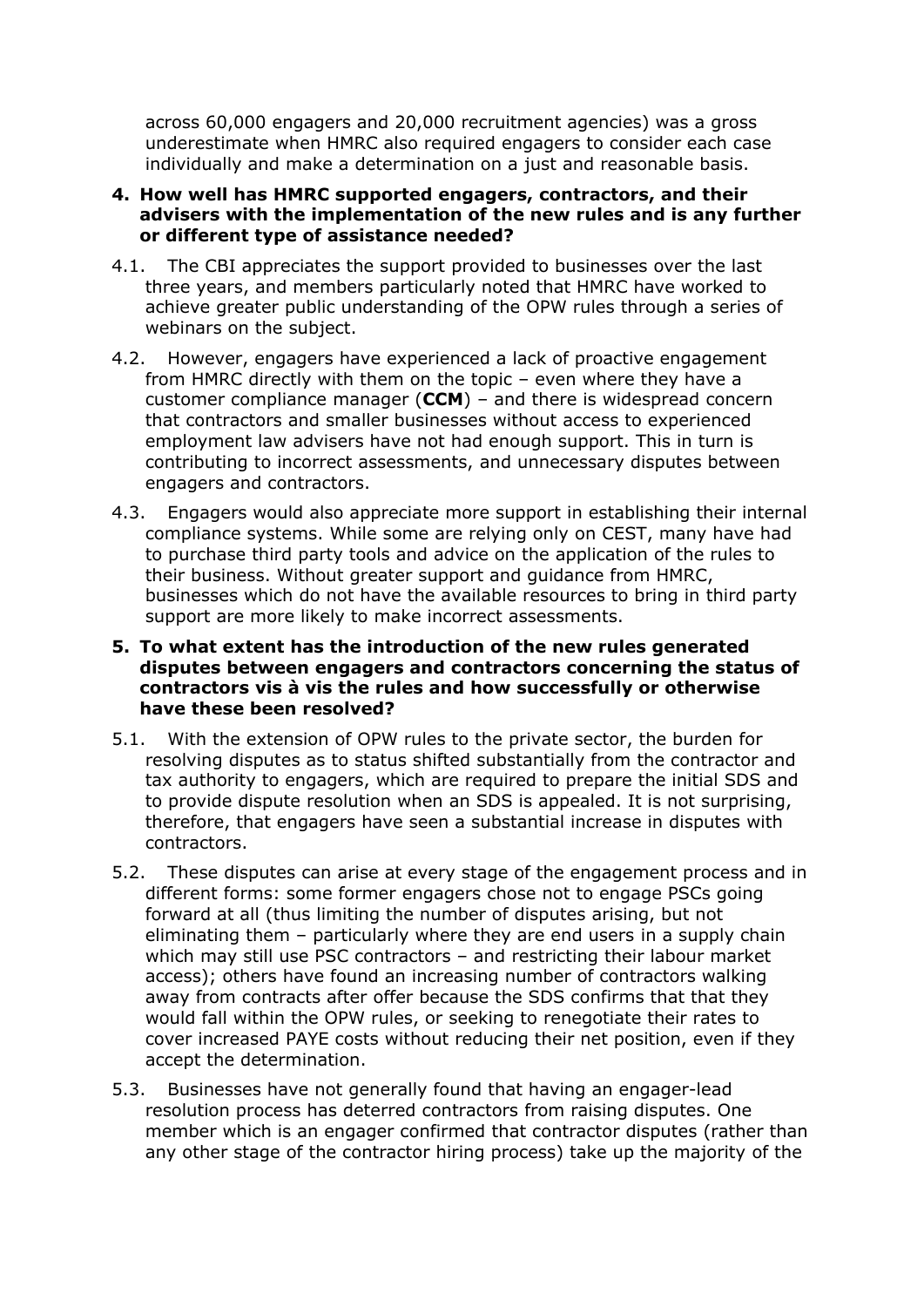across 60,000 engagers and 20,000 recruitment agencies) was a gross underestimate when HMRC also required engagers to consider each case individually and make a determination on a just and reasonable basis.

#### **4. How well has HMRC supported engagers, contractors, and their advisers with the implementation of the new rules and is any further or different type of assistance needed?**

- 4.1. The CBI appreciates the support provided to businesses over the last three years, and members particularly noted that HMRC have worked to achieve greater public understanding of the OPW rules through a series of webinars on the subject.
- 4.2. However, engagers have experienced a lack of proactive engagement from HMRC directly with them on the topic – even where they have a customer compliance manager (**CCM**) – and there is widespread concern that contractors and smaller businesses without access to experienced employment law advisers have not had enough support. This in turn is contributing to incorrect assessments, and unnecessary disputes between engagers and contractors.
- 4.3. Engagers would also appreciate more support in establishing their internal compliance systems. While some are relying only on CEST, many have had to purchase third party tools and advice on the application of the rules to their business. Without greater support and guidance from HMRC, businesses which do not have the available resources to bring in third party support are more likely to make incorrect assessments.

#### **5. To what extent has the introduction of the new rules generated disputes between engagers and contractors concerning the status of contractors vis à vis the rules and how successfully or otherwise have these been resolved?**

- 5.1. With the extension of OPW rules to the private sector, the burden for resolving disputes as to status shifted substantially from the contractor and tax authority to engagers, which are required to prepare the initial SDS and to provide dispute resolution when an SDS is appealed. It is not surprising, therefore, that engagers have seen a substantial increase in disputes with contractors.
- 5.2. These disputes can arise at every stage of the engagement process and in different forms: some former engagers chose not to engage PSCs going forward at all (thus limiting the number of disputes arising, but not eliminating them – particularly where they are end users in a supply chain which may still use PSC contractors – and restricting their labour market access); others have found an increasing number of contractors walking away from contracts after offer because the SDS confirms that that they would fall within the OPW rules, or seeking to renegotiate their rates to cover increased PAYE costs without reducing their net position, even if they accept the determination.
- 5.3. Businesses have not generally found that having an engager-lead resolution process has deterred contractors from raising disputes. One member which is an engager confirmed that contractor disputes (rather than any other stage of the contractor hiring process) take up the majority of the